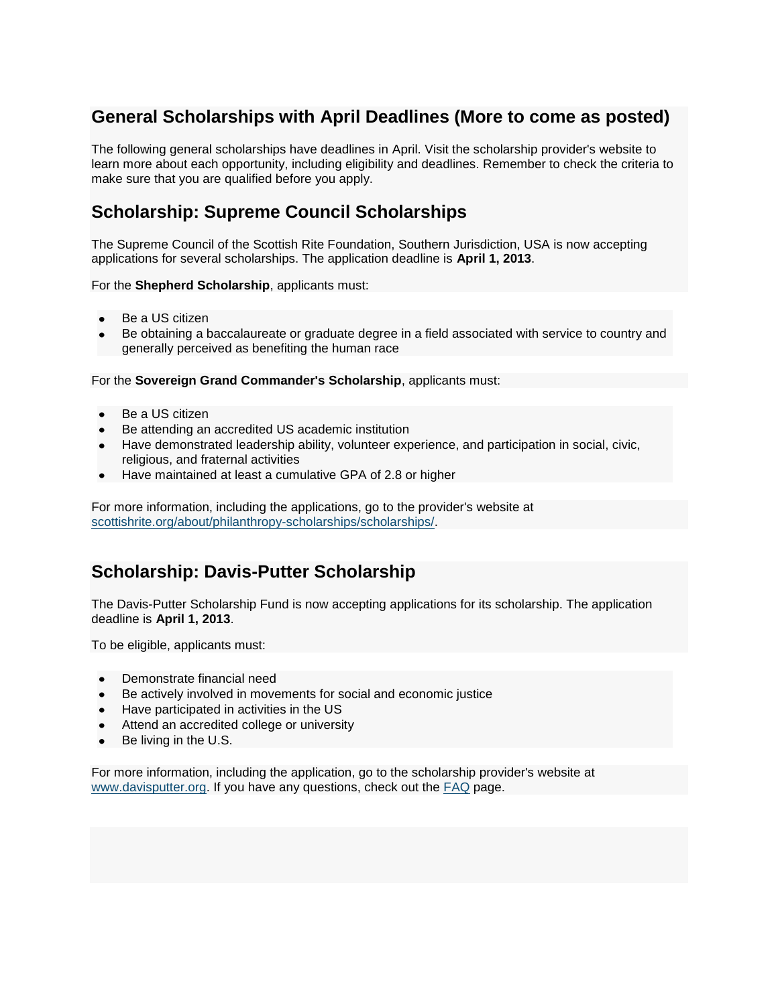## **General Scholarships with April Deadlines (More to come as posted)**

The following general scholarships have deadlines in April. Visit the scholarship provider's website to learn more about each opportunity, including eligibility and deadlines. Remember to check the criteria to make sure that you are qualified before you apply.

## **Scholarship: Supreme Council Scholarships**

The Supreme Council of the Scottish Rite Foundation, Southern Jurisdiction, USA is now accepting applications for several scholarships. The application deadline is **April 1, 2013**.

For the **Shepherd Scholarship**, applicants must:

- Be a US citizen
- Be obtaining a baccalaureate or graduate degree in a field associated with service to country and generally perceived as benefiting the human race

For the **Sovereign Grand Commander's Scholarship**, applicants must:

- Be a US citizen
- Be attending an accredited US academic institution
- Have demonstrated leadership ability, volunteer experience, and participation in social, civic, religious, and fraternal activities
- Have maintained at least a cumulative GPA of 2.8 or higher

For more information, including the applications, go to the provider's website at [scottishrite.org/about/philanthropy-scholarships/scholarships/.](http://scottishrite.org/about/philanthropy-scholarships/scholarships/)

## **Scholarship: Davis-Putter Scholarship**

The Davis-Putter Scholarship Fund is now accepting applications for its scholarship. The application deadline is **April 1, 2013**.

To be eligible, applicants must:

- Demonstrate financial need
- Be actively involved in movements for social and economic justice
- $\bullet$ Have participated in activities in the US
- Attend an accredited college or university
- Be living in the U.S.

For more information, including the application, go to the scholarship provider's website at [www.davisputter.org.](http://www.davisputter.org/) If you have any questions, check out the **FAQ** page.